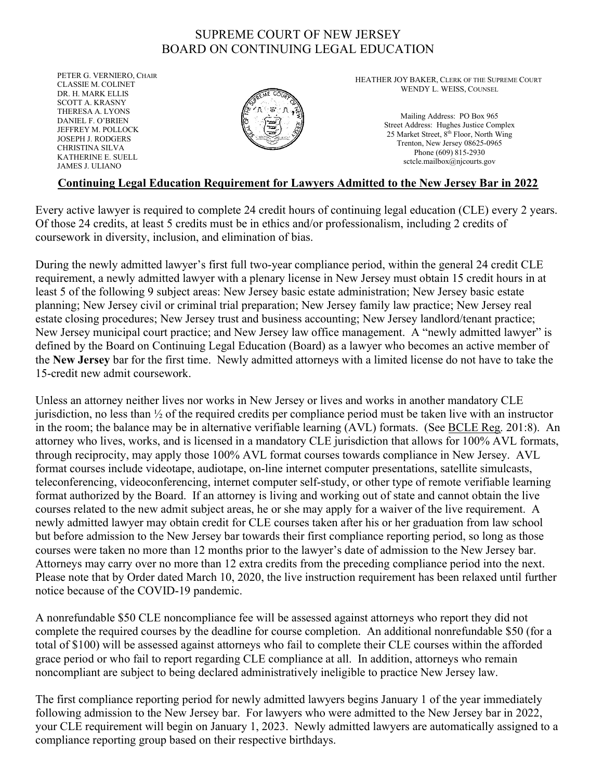## SUPREME COURT OF NEW JERSEY BOARD ON CONTINUING LEGAL EDUCATION

PETER G. VERNIERO, CHAIR CLASSIE M. COLINET DR. H. MARK ELLIS SCOTT A. KRASNY THERESA A. LYONS DANIEL F. O'BRIEN JEFFREY M. POLLOCK JOSEPH J. RODGERS CHRISTINA SILVA KATHERINE E. SUELL JAMES J. ULIANO



HEATHER JOY BAKER, CLERK OF THE SUPREME COURT WENDY L. WEISS, COUNSEL

> Mailing Address: PO Box 965 Street Address: Hughes Justice Complex 25 Market Street, 8<sup>th</sup> Floor, North Wing Trenton, New Jersey 08625-0965 Phone (609) 815-2930 sctcle.mailbox@njcourts.gov

## Continuing Legal Education Requirement for Lawyers Admitted to the New Jersey Bar in 2022

Every active lawyer is required to complete 24 credit hours of continuing legal education (CLE) every 2 years. Of those 24 credits, at least 5 credits must be in ethics and/or professionalism, including 2 credits of coursework in diversity, inclusion, and elimination of bias.

During the newly admitted lawyer's first full two-year compliance period, within the general 24 credit CLE requirement, a newly admitted lawyer with a plenary license in New Jersey must obtain 15 credit hours in at least 5 of the following 9 subject areas: New Jersey basic estate administration; New Jersey basic estate planning; New Jersey civil or criminal trial preparation; New Jersey family law practice; New Jersey real estate closing procedures; New Jersey trust and business accounting; New Jersey landlord/tenant practice; New Jersey municipal court practice; and New Jersey law office management. A "newly admitted lawyer" is defined by the Board on Continuing Legal Education (Board) as a lawyer who becomes an active member of the New Jersey bar for the first time. Newly admitted attorneys with a limited license do not have to take the 15-credit new admit coursework.

Unless an attorney neither lives nor works in New Jersey or lives and works in another mandatory CLE jurisdiction, no less than ½ of the required credits per compliance period must be taken live with an instructor in the room; the balance may be in alternative verifiable learning (AVL) formats. (See BCLE Reg. 201:8). An attorney who lives, works, and is licensed in a mandatory CLE jurisdiction that allows for 100% AVL formats, through reciprocity, may apply those 100% AVL format courses towards compliance in New Jersey. AVL format courses include videotape, audiotape, on-line internet computer presentations, satellite simulcasts, teleconferencing, videoconferencing, internet computer self-study, or other type of remote verifiable learning format authorized by the Board. If an attorney is living and working out of state and cannot obtain the live courses related to the new admit subject areas, he or she may apply for a waiver of the live requirement. A newly admitted lawyer may obtain credit for CLE courses taken after his or her graduation from law school but before admission to the New Jersey bar towards their first compliance reporting period, so long as those courses were taken no more than 12 months prior to the lawyer's date of admission to the New Jersey bar. Attorneys may carry over no more than 12 extra credits from the preceding compliance period into the next. Please note that by Order dated March 10, 2020, the live instruction requirement has been relaxed until further notice because of the COVID-19 pandemic.

A nonrefundable \$50 CLE noncompliance fee will be assessed against attorneys who report they did not complete the required courses by the deadline for course completion. An additional nonrefundable \$50 (for a total of \$100) will be assessed against attorneys who fail to complete their CLE courses within the afforded grace period or who fail to report regarding CLE compliance at all. In addition, attorneys who remain noncompliant are subject to being declared administratively ineligible to practice New Jersey law.

The first compliance reporting period for newly admitted lawyers begins January 1 of the year immediately following admission to the New Jersey bar. For lawyers who were admitted to the New Jersey bar in 2022, your CLE requirement will begin on January 1, 2023. Newly admitted lawyers are automatically assigned to a compliance reporting group based on their respective birthdays.